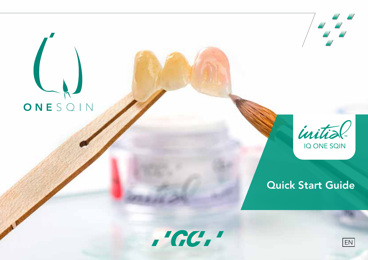# ONESQIN



# Quick Start Guide

 $'$ GC $'$ 

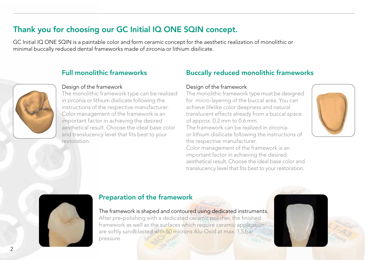# Thank you for choosing our GC Initial IQ ONE SQIN concept.

GC Initial IQ ONE SQIN is a paintable color and form ceramic concept for the aesthetic realization of monolithic or minimal buccally reduced dental frameworks made of zirconia or lithium disilicate.

# Full monolithic frameworks



### Design of the framework

The monolithic framework type can be realized in zirconia or lithium disilicate following the instructions of the respective manufacturer. Color management of the framework is an important factor in achieving the desired aesthetical result. Choose the ideal base color and translucency level that fits best to your restoration.

# Buccally reduced monolithic frameworks

### Design of the framework

The monolithic framework type must be designed for micro-layering of the buccal area. You can achieve lifelike color deepness and natural translucent effects already from a buccal space of approx. 0.2 mm to 0.6 mm.

The framework can be realized in zirconia or lithium disilicate following the instructions of the respective manufacturer.

Color management of the framework is an important factor in achieving the desired aesthetical result. Choose the ideal base color and translucency level that fits best to your restoration.





## Preparation of the framework

### The framework is shaped and contoured using dedicated instruments.

After pre-polishing with a dedicated ceramic polisher, the finished framework as well as the surfaces which require ceramic application are softly sandblasted with 50 microns Alu-Oxid at max. 1,5 bar pressure.



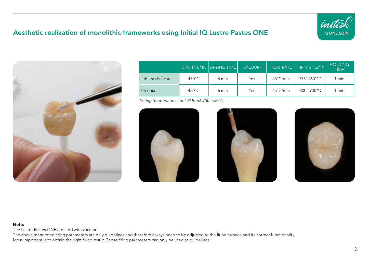# Aesthetic realization of monolithic frameworks using Initial IQ Lustre Pastes ONE





|                    |                  | START TEMP. DRYING TIME | <b>VACUUM</b> | <b>HEAT RATE</b>   | <b>FIRING TEMP</b> | <b>HOLDING</b><br><b>TIME</b> |
|--------------------|------------------|-------------------------|---------------|--------------------|--------------------|-------------------------------|
| Lithium disilicate | $450^{\circ}$ C  | 4 min                   | Yes           | $45^{\circ}$ C/min | 735°-760°C*        | min                           |
| Zirconia           | $450^{\circ}$ C. | 6 min                   | Yes           | $45^{\circ}$ C/min | 800°-900°C         | l min                         |

*\*Firing temperatures for LiSi Block 730°-750°C*







### Note:

The Lustre Pastes ONE are fired with vacuum.

The above mentioned firing parameters are only guidelines and therefore always need to be adjusted to the firing furnace and its correct functionality. Most important is to obtain the right firing result. These firing parameters can only be used as guidelines.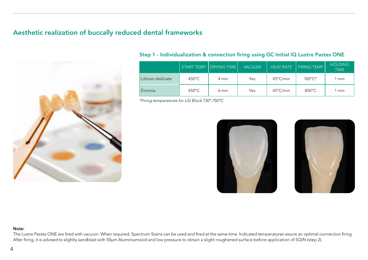# Aesthetic realization of buccally reduced dental frameworks



### Step 1 - Individualization & connection firing using GC Initial IQ Lustre Pastes ONE

|                    |                  | START TEMP. DRYING TIME | <b>VACUUM</b> |                    | HEAT RATE   FIRING TEMP ' | <b>HOLDING</b><br><b>TIME</b> |
|--------------------|------------------|-------------------------|---------------|--------------------|---------------------------|-------------------------------|
| Lithium disilicate | $450^{\circ}$ C. | 4 min                   | Yes           | 45°C/min           | 760°C*                    | l min                         |
| <b>Zirconia</b>    | $450^{\circ}$ C  | 6 min                   | Yes           | $45^{\circ}$ C/min | $850^{\circ}$ C           | l min                         |

*\*Firing temperatures for LiSi Block 730°-750°C* 





### Note:

The Lustre Pastes ONE are fired with vacuum. When required, Spectrum Stains can be used and fired at the same time. Indicated temperatures assure an optimal connection firing. After firing, it is advised to slightly sandblast with 50µm Aluminiumoxid and low pressure to obtain a slight roughened surface before application of SQIN (step 2).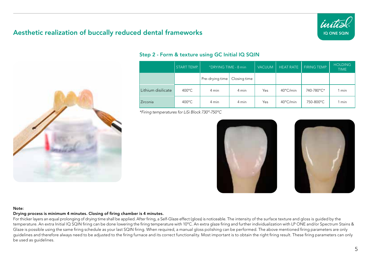# Aesthetic realization of buccally reduced dental frameworks





### Step 2 - Form & texture using GC Initial IQ SQIN

|                    | <b>START TEMP.</b> | "DRYING TIME - 8 min |              | <b>VACUUM</b> | <b>HEAT RATE</b>   | <b>FIRING TEMP.</b> | <b>HOLDING</b><br><b>TIME</b> |
|--------------------|--------------------|----------------------|--------------|---------------|--------------------|---------------------|-------------------------------|
|                    |                    | Pre-drying time      | Closing time |               |                    |                     |                               |
| Lithium disilicate | $400^{\circ}$ C    | 4 min                | 4 min        | Yes           | $40^{\circ}$ C/min | 740-780°C*          | 1 min                         |
| Zirconia           | $400^{\circ}$ C    | 4 min                | 4 min        | Yes           | $40^{\circ}$ C/min | 750-800°C           | 1 min                         |

*\*Firing temperatures for LiSi Block 730°-750°C* 





### Note:

### Drying process is minimum 4 minutes. Closing of firing chamber is 4 minutes.

For thicker layers an equal prolonging of drying time shall be applied. After firing, a Self-Glaze effect (gloss) is noticeable. The intensity of the surface texture and gloss is guided by the temperature. An extra Initial IQ SQIN firing can be done lowering the firing temperature with 10°C. An extra glaze firing and further individualization with LP ONE and/or Spectrum Stains & Glaze is possible using the same firing schedule as your last SQIN firing. When required, a manual gloss polishing can be performed. The above mentioned firing parameters are only guidelines and therefore always need to be adjusted to the firing furnace and its correct functionality. Most important is to obtain the right firing result. These firing parameters can only be used as guidelines.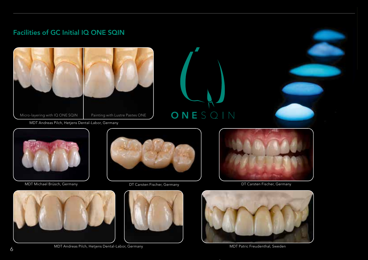# Facilities of GC Initial IQ ONE SQIN



MDT Andreas Pilch, Hetjens Dental-Labor, Germany



MDT Michael Brüsch, Germany DT Carsten Fischer, Germany DT Carsten Fischer, Germany





ONESQIN







MDT Andreas Pilch, Hetjens Dental-Labor, Germany MDT Patric Freudenthal, Sweden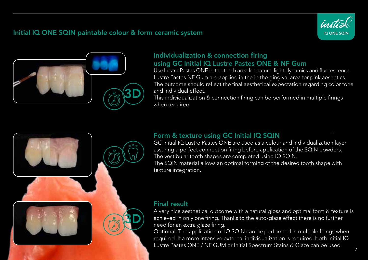# Initial IQ ONE SQIN paintable colour & form ceramic system





# Individualization & connection firing using GC Initial IQ Lustre Pastes ONE & NF Gum

Use Lustre Pastes ONE in the teeth area for natural light dynamics and fluorescence. Lustre Pastes NF Gum are applied in the in the gingival area for pink aeshetics. The outcome should reflect the final aesthetical expectation regarding color tone and individual effect.

This individualization & connection firing can be performed in multiple firings when required.



# Form & texture using GC Initial IQ SQIN

GC Initial IQ Lustre Pastes ONE are used as a colour and individualization layer assuring a perfect connection firing before application of the SQIN powders. The vestibular tooth shapes are completed using IQ SQIN. The SQIN material allows an optimal forming of the desired tooth shape with texture integration.

# Final result

A very nice aesthetical outcome with a natural gloss and optimal form & texture is achieved in only one firing. Thanks to the auto-glaze effect there is no further need for an extra glaze firing.

Optional: The application of IQ SQIN can be performed in multiple firings when required. If a more intensive external individualization is required, both Initial IQ Lustre Pastes ONE / NF GUM or Initial Spectrum Stains & Glaze can be used.